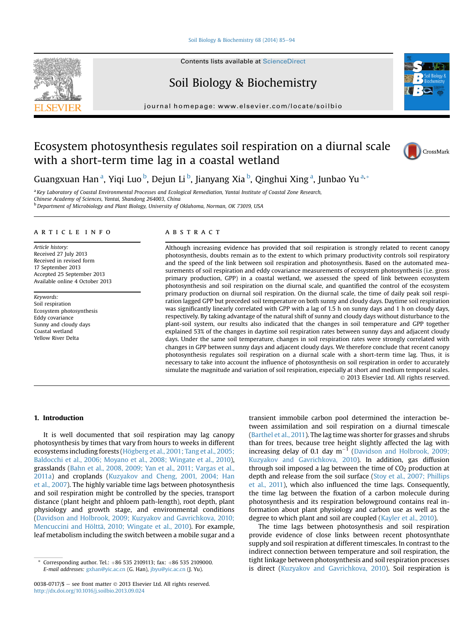## [Soil Biology & Biochemistry 68 \(2014\) 85](http://dx.doi.org/10.1016/j.soilbio.2013.09.024)-[94](http://dx.doi.org/10.1016/j.soilbio.2013.09.024)



# Soil Biology & Biochemistry

journal homepage: [www.elsevier.com/locate/soilbio](http://www.elsevier.com/locate/soilbio)

# Ecosystem photosynthesis regulates soil respiration on a diurnal scale with a short-term time lag in a coastal wetland



CrossMark

Guangxuan Han <sup>a</sup>, Yiqi Luo <sup>b</sup>, Dejun Li <sup>b</sup>, Jianyang Xia <sup>b</sup>, Qinghui Xing <sup>a</sup>, Junbao Yu <sup>a,</sup>\*

a Key Laboratory of Coastal Environmental Processes and Ecological Remediation, Yantai Institute of Coastal Zone Research, Chinese Academy of Sciences, Yantai, Shandong 264003, China

<sup>b</sup> Department of Microbiology and Plant Biology, University of Oklahoma, Norman, OK 73019, USA

### article info

Article history: Received 27 July 2013 Received in revised form 17 September 2013 Accepted 25 September 2013 Available online 4 October 2013

Keywords: Soil respiration Ecosystem photosynthesis Eddy covariance Sunny and cloudy days Coastal wetland Yellow River Delta

# **ABSTRACT**

Although increasing evidence has provided that soil respiration is strongly related to recent canopy photosynthesis, doubts remain as to the extent to which primary productivity controls soil respiratory and the speed of the link between soil respiration and photosynthesis. Based on the automated measurements of soil respiration and eddy covariance measurements of ecosystem photosynthesis (i.e. gross primary production, GPP) in a coastal wetland, we assessed the speed of link between ecosystem photosynthesis and soil respiration on the diurnal scale, and quantified the control of the ecosystem primary production on diurnal soil respiration. On the diurnal scale, the time of daily peak soil respiration lagged GPP but preceded soil temperature on both sunny and cloudy days. Daytime soil respiration was significantly linearly correlated with GPP with a lag of 1.5 h on sunny days and 1 h on cloudy days, respectively. By taking advantage of the natural shift of sunny and cloudy days without disturbance to the plant-soil system, our results also indicated that the changes in soil temperature and GPP together explained 53% of the changes in daytime soil respiration rates between sunny days and adjacent cloudy days. Under the same soil temperature, changes in soil respiration rates were strongly correlated with changes in GPP between sunny days and adjacent cloudy days. We therefore conclude that recent canopy photosynthesis regulates soil respiration on a diurnal scale with a short-term time lag. Thus, it is necessary to take into account the influence of photosynthesis on soil respiration in order to accurately simulate the magnitude and variation of soil respiration, especially at short and medium temporal scales. 2013 Elsevier Ltd. All rights reserved.

## 1. Introduction

It is well documented that soil respiration may lag canopy photosynthesis by times that vary from hours to weeks in different ecosystems including forests ([Högberg et al., 2001; Tang et al., 2005;](#page-8-0) [Baldocchi et al., 2006; Moyano et al., 2008; Wingate et al., 2010\)](#page-8-0), grasslands ([Bahn et al., 2008, 2009; Yan et al., 2011; Vargas et al.,](#page-8-0) [2011a\)](#page-8-0) and croplands [\(Kuzyakov and Cheng, 2001, 2004; Han](#page-8-0) [et al., 2007\)](#page-8-0). The highly variable time lags between photosynthesis and soil respiration might be controlled by the species, transport distance (plant height and phloem path-length), root depth, plant physiology and growth stage, and environmental conditions ([Davidson and Holbrook, 2009; Kuzyakov and Gavrichkova, 2010;](#page-8-0) [Mencuccini and Hölttä, 2010; Wingate et al., 2010](#page-8-0)). For example, leaf metabolism including the switch between a mobile sugar and a transient immobile carbon pool determined the interaction between assimilation and soil respiration on a diurnal timescale ([Barthel et al., 2011](#page-8-0)). The lag time was shorter for grasses and shrubs than for trees, because tree height slightly affected the lag with increasing delay of 0.1 day  $m^{-1}$  [\(Davidson and Holbrook, 2009;](#page-8-0) [Kuzyakov and Gavrichkova, 2010\)](#page-8-0). In addition, gas diffusion through soil imposed a lag between the time of  $CO<sub>2</sub>$  production at depth and release from the soil surface ([Stoy et al., 2007; Phillips](#page-9-0) [et al., 2011\)](#page-9-0), which also influenced the time lags. Consequently, the time lag between the fixation of a carbon molecule during photosynthesis and its respiration belowground contains real information about plant physiology and carbon use as well as the degree to which plant and soil are coupled ([Kayler et al., 2010](#page-8-0)).

The time lags between photosynthesis and soil respiration provide evidence of close links between recent photosynthate supply and soil respiration at different timescales. In contrast to the indirect connection between temperature and soil respiration, the tight linkage between photosynthesis and soil respiration processes is direct ([Kuzyakov and Gavrichkova, 2010\)](#page-8-0). Soil respiration is



Corresponding author. Tel.: +86 535 2109113; fax: +86 535 2109000. E-mail addresses: [gxhan@yic.ac.cn](mailto:gxhan@yic.ac.cn) (G. Han), [jbyu@yic.ac.cn](mailto:jbyu@yic.ac.cn) (J. Yu).

<sup>0038-0717/\$ -</sup> see front matter  $\odot$  2013 Elsevier Ltd. All rights reserved. <http://dx.doi.org/10.1016/j.soilbio.2013.09.024>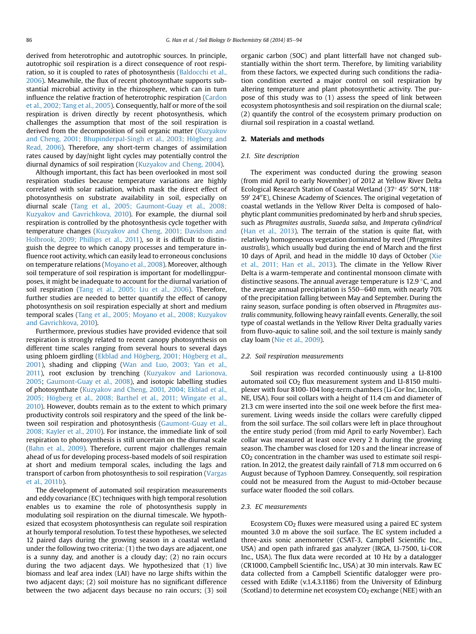derived from heterotrophic and autotrophic sources. In principle, autotrophic soil respiration is a direct consequence of root respiration, so it is coupled to rates of photosynthesis ([Baldocchi et al.,](#page-8-0) [2006](#page-8-0)). Meanwhile, the flux of recent photosynthate supports substantial microbial activity in the rhizosphere, which can in turn influence the relative fraction of heterotrophic respiration ([Cardon](#page-8-0) [et al., 2002; Tang et al., 2005](#page-8-0)). Consequently, half or more of the soil respiration is driven directly by recent photosynthesis, which challenges the assumption that most of the soil respiration is derived from the decomposition of soil organic matter ([Kuzyakov](#page-8-0) [and Cheng, 2001; Bhupinderpal-Singh et al., 2003; Högberg and](#page-8-0) [Read, 2006\)](#page-8-0). Therefore, any short-term changes of assimilation rates caused by day/night light cycles may potentially control the diurnal dynamics of soil respiration [\(Kuzyakov and Cheng, 2004\)](#page-8-0).

Although important, this fact has been overlooked in most soil respiration studies because temperature variations are highly correlated with solar radiation, which mask the direct effect of photosynthesis on substrate availability in soil, especially on diurnal scale [\(Tang et al., 2005; Gaumont-Guay et al., 2008;](#page-9-0) [Kuzyakov and Gavrichkova, 2010](#page-9-0)). For example, the diurnal soil respiration is controlled by the photosynthesis cycle together with temperature changes [\(Kuzyakov and Cheng, 2001; Davidson and](#page-8-0) [Holbrook, 2009; Phillips et al., 2011\)](#page-8-0), so it is difficult to distinguish the degree to which canopy processes and temperature influence root activity, which can easily lead to erroneous conclusions on temperature relations ([Moyano et al., 2008\)](#page-8-0). Moreover, although soil temperature of soil respiration is important for modellingpurposes, it might be inadequate to account for the diurnal variation of soil respiration ([Tang et al., 2005; Liu et al., 2006](#page-9-0)). Therefore, further studies are needed to better quantify the effect of canopy photosynthesis on soil respiration especially at short and medium temporal scales ([Tang et al., 2005; Moyano et al., 2008; Kuzyakov](#page-9-0) [and Gavrichkova, 2010\)](#page-9-0).

Furthermore, previous studies have provided evidence that soil respiration is strongly related to recent canopy photosynthesis on different time scales ranging from several hours to several days using phloem girdling ([Ekblad and Högberg, 2001; Högberg et al.,](#page-8-0) [2001\)](#page-8-0), shading and clipping ([Wan and Luo, 2003; Yan et al.,](#page-9-0) [2011\)](#page-9-0), root exclusion by trenching ([Kuzyakov and Larionova,](#page-8-0) [2005](#page-8-0); [Gaumont-Guay et al., 2008\)](#page-8-0), and isotopic labelling studies of photosynthate [\(Kuzyakov and Cheng, 2001, 2004; Ekblad et al.,](#page-8-0) [2005; Högberg et al., 2008; Barthel et al., 2011; Wingate et al.,](#page-8-0) [2010](#page-8-0)). However, doubts remain as to the extent to which primary productivity controls soil respiratory and the speed of the link between soil respiration and photosynthesis ([Gaumont-Guay et al.,](#page-8-0) [2008; Kayler et al., 2010\)](#page-8-0). For instance, the immediate link of soil respiration to photosynthesis is still uncertain on the diurnal scale ([Bahn et al., 2009](#page-8-0)). Therefore, current major challenges remain ahead of us for developing process-based models of soil respiration at short and medium temporal scales, including the lags and transport of carbon from photosynthesis to soil respiration ([Vargas](#page-9-0) [et al., 2011b](#page-9-0)).

The development of automated soil respiration measurements and eddy covariance (EC) techniques with high temporal resolution enables us to examine the role of photosynthesis supply in modulating soil respiration on the diurnal timescale. We hypothesized that ecosystem photosynthesis can regulate soil respiration at hourly temporal resolution. To test these hypotheses, we selected 12 paired days during the growing season in a coastal wetland under the following two criteria: (1) the two days are adjacent, one is a sunny day, and another is a cloudy day; (2) no rain occurs during the two adjacent days. We hypothesized that (1) live biomass and leaf area index (LAI) have no large shifts within the two adjacent days; (2) soil moisture has no significant difference between the two adjacent days because no rain occurs; (3) soil organic carbon (SOC) and plant litterfall have not changed substantially within the short term. Therefore, by limiting variability from these factors, we expected during such conditions the radiation condition exerted a major control on soil respiration by altering temperature and plant photosynthetic activity. The purpose of this study was to (1) assess the speed of link between ecosystem photosynthesis and soil respiration on the diurnal scale; (2) quantify the control of the ecosystem primary production on diurnal soil respiration in a coastal wetland.

# 2. Materials and methods

# 2.1. Site description

The experiment was conducted during the growing season (from mid April to early November) of 2012 at Yellow River Delta Ecological Research Station of Coastal Wetland (37 $\degree$  45 $\degree$  50 $\degree$ N, 118 $\degree$ 59' 24"E), Chinese Academy of Sciences. The original vegetation of coastal wetlands in the Yellow River Delta is composed of halophytic plant communities predominated by herb and shrub species, such as Phragmites australis, Suaeda salsa, and Imperata cylindrical ([Han et al., 2013\)](#page-8-0). The terrain of the station is quite flat, with relatively homogeneous vegetation dominated by reed (Phragmites australis), which usually bud during the end of March and the first 10 days of April, and head in the middle 10 days of October ([Xie](#page-9-0) [et al., 2011; Han et al., 2013\)](#page-9-0). The climate in the Yellow River Delta is a warm-temperate and continental monsoon climate with distinctive seasons. The annual average temperature is 12.9  $\degree$ C, and the average annual precipitation is  $550-640$  mm, with nearly  $70\%$ of the precipitation falling between May and September. During the rainy season, surface ponding is often observed in Phragmites australis community, following heavy rainfall events. Generally, the soil type of coastal wetlands in the Yellow River Delta gradually varies from fluvo-aquic to saline soil, and the soil texture is mainly sandy clay loam ([Nie et al., 2009\)](#page-8-0).

#### 2.2. Soil respiration measurements

Soil respiration was recorded continuously using a LI-8100 automated soil  $CO<sub>2</sub>$  flux measurement system and LI-8150 multiplexer with four 8100-104 long-term chambers (Li-Cor Inc, Lincoln, NE, USA). Four soil collars with a height of 11.4 cm and diameter of 21.3 cm were inserted into the soil one week before the first measurement. Living weeds inside the collars were carefully clipped from the soil surface. The soil collars were left in place throughout the entire study period (from mid April to early November). Each collar was measured at least once every 2 h during the growing season. The chamber was closed for 120 s and the linear increase of  $CO<sub>2</sub>$  concentration in the chamber was used to estimate soil respiration. In 2012, the greatest daily rainfall of 71.8 mm occurred on 6 August because of Typhoon Damrey. Consequently, soil respiration could not be measured from the August to mid-October because surface water flooded the soil collars.

## 2.3. EC measurements

Ecosystem  $CO<sub>2</sub>$  fluxes were measured using a paired EC system mounted 3.0 m above the soil surface. The EC system included a three-axis sonic anemometer (CSAT-3, Campbell Scientific Inc., USA) and open path infrared gas analyzer (IRGA, LI-7500, Li-COR Inc., USA). The flux data were recorded at 10 Hz by a datalogger (CR1000, Campbell Scientific Inc., USA) at 30 min intervals. Raw EC data collected from a Campbell Scientific datalogger were processed with EdiRe (v.1.4.3.1186) from the University of Edinburg (Scotland) to determine net ecosystem  $CO<sub>2</sub>$  exchange (NEE) with an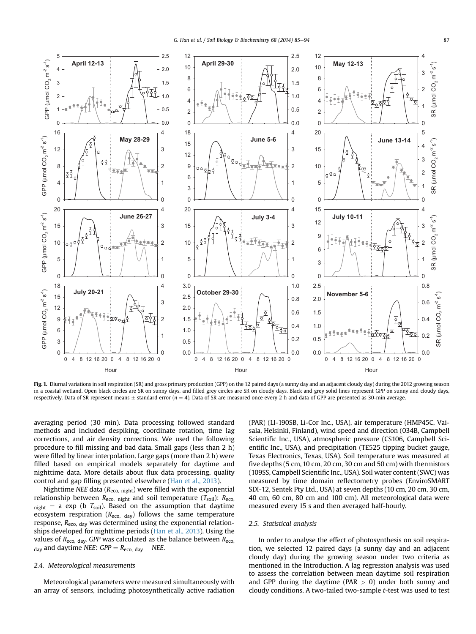<span id="page-2-0"></span>

Fig. 1. Diurnal variations in soil respiration (SR) and gross primary production (GPP) on the 12 paired days (a sunny day and an adjacent cloudy day) during the 2012 growing season in a coastal wetland. Open black circles are SR on sunny days, and filled grey circles are SR on cloudy days. Black and grey solid lines represent GPP on sunny and cloudy days, respectively. Data of SR represent means  $\pm$  standard error (n = 4). Data of SR are measured once every 2 h and data of GPP are presented as 30-min average.

averaging period (30 min). Data processing followed standard methods and included despiking, coordinate rotation, time lag corrections, and air density corrections. We used the following procedure to fill missing and bad data. Small gaps (less than 2 h) were filled by linear interpolation. Large gaps (more than 2 h) were filled based on empirical models separately for daytime and nighttime data. More details about flux data processing, quality control and gap filling presented elsewhere [\(Han et al., 2013\)](#page-8-0).

Nighttime NEE data ( $R_{\text{eco, night}}$ ) were filled with the exponential relationship between  $R_{\text{eco}}$ , night and soil temperature  $(T_{\text{soil}})$ :  $R_{\text{eco}}$  $_{\rm night}$  = a exp (b  $T_{\rm soil}$ ). Based on the assumption that daytime ecosystem respiration ( $R_{\text{eco, day}}$ ) follows the same temperature response, Reco, day was determined using the exponential relationships developed for nighttime periods [\(Han et al., 2013](#page-8-0)). Using the values of  $R_{\text{eco, day}}$ , GPP was calculated as the balance between  $R_{\text{eco}}$  $_{\text{day}}$  and daytime NEE: GPP =  $R_{\text{eco, day}} - \text{NEE}$ .

# 2.4. Meteorological measurements

Meteorological parameters were measured simultaneously with an array of sensors, including photosynthetically active radiation (PAR) (LI-190SB, Li-Cor Inc., USA), air temperature (HMP45C, Vaisala, Helsinki, Finland), wind speed and direction (034B, Campbell Scientific Inc., USA), atmospheric pressure (CS106, Campbell Scientific Inc., USA), and precipitation (TE525 tipping bucket gauge, Texas Electronics, Texas, USA). Soil temperature was measured at five depths (5 cm, 10 cm, 20 cm, 30 cm and 50 cm) with thermistors (109SS, Campbell Scientific Inc., USA). Soil water content (SWC) was measured by time domain reflectometry probes (EnviroSMART SDI-12, Sentek Pty Ltd., USA) at seven depths (10 cm, 20 cm, 30 cm, 40 cm, 60 cm, 80 cm and 100 cm). All meteorological data were measured every 15 s and then averaged half-hourly.

# 2.5. Statistical analysis

In order to analyse the effect of photosynthesis on soil respiration, we selected 12 paired days (a sunny day and an adjacent cloudy day) during the growing season under two criteria as mentioned in the Introduction. A lag regression analysis was used to assess the correlation between mean daytime soil respiration and GPP during the daytime (PAR  $> 0$ ) under both sunny and cloudy conditions. A two-tailed two-sample t-test was used to test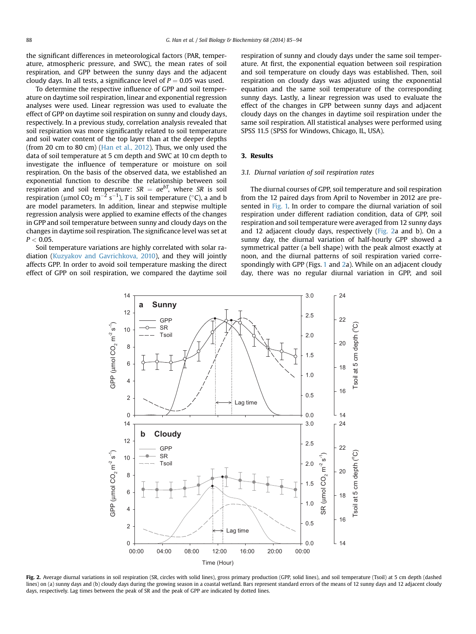<span id="page-3-0"></span>the significant differences in meteorological factors (PAR, temperature, atmospheric pressure, and SWC), the mean rates of soil respiration, and GPP between the sunny days and the adjacent cloudy days. In all tests, a significance level of  $P = 0.05$  was used.

To determine the respective influence of GPP and soil temperature on daytime soil respiration, linear and exponential regression analyses were used. Linear regression was used to evaluate the effect of GPP on daytime soil respiration on sunny and cloudy days, respectively. In a previous study, correlation analysis revealed that soil respiration was more significantly related to soil temperature and soil water content of the top layer than at the deeper depths (from 20 cm to 80 cm) ([Han et al., 2012\)](#page-8-0). Thus, we only used the data of soil temperature at 5 cm depth and SWC at 10 cm depth to investigate the influence of temperature or moisture on soil respiration. On the basis of the observed data, we established an exponential function to describe the relationship between soil respiration and soil temperature:  $SR = ae^{bT}$ , where SR is soil respiration (µmol CO $_2$  m $^{-2}$  s $^{-1}$ ),  $T$  is soil temperature (°C), a and b are model parameters. In addition, linear and stepwise multiple regression analysis were applied to examine effects of the changes in GPP and soil temperature between sunny and cloudy days on the changes in daytime soil respiration. The significance level was set at  $P < 0.05$ .

Soil temperature variations are highly correlated with solar radiation [\(Kuzyakov and Gavrichkova, 2010](#page-8-0)), and they will jointly affects GPP. In order to avoid soil temperature masking the direct effect of GPP on soil respiration, we compared the daytime soil respiration of sunny and cloudy days under the same soil temperature. At first, the exponential equation between soil respiration and soil temperature on cloudy days was established. Then, soil respiration on cloudy days was adjusted using the exponential equation and the same soil temperature of the corresponding sunny days. Lastly, a linear regression was used to evaluate the effect of the changes in GPP between sunny days and adjacent cloudy days on the changes in daytime soil respiration under the same soil respiration. All statistical analyses were performed using SPSS 11.5 (SPSS for Windows, Chicago, IL, USA).

# 3. Results

#### 3.1. Diurnal variation of soil respiration rates

The diurnal courses of GPP, soil temperature and soil respiration from the 12 paired days from April to November in 2012 are presented in [Fig. 1.](#page-2-0) In order to compare the diurnal variation of soil respiration under different radiation condition, data of GPP, soil respiration and soil temperature were averaged from 12 sunny days and 12 adjacent cloudy days, respectively (Fig. 2a and b). On a sunny day, the diurnal variation of half-hourly GPP showed a symmetrical patter (a bell shape) with the peak almost exactly at noon, and the diurnal patterns of soil respiration varied correspondingly with GPP (Figs. [1](#page-2-0) and 2a). While on an adjacent cloudy day, there was no regular diurnal variation in GPP, and soil



Fig. 2. Average diurnal variations in soil respiration (SR, circles with solid lines), gross primary production (GPP, solid lines), and soil temperature (Tsoil) at 5 cm depth (dashed lines) on (a) sunny days and (b) cloudy days during the growing season in a coastal wetland. Bars represent standard errors of the means of 12 sunny days and 12 adjacent cloudy days, respectively. Lag times between the peak of SR and the peak of GPP are indicated by dotted lines.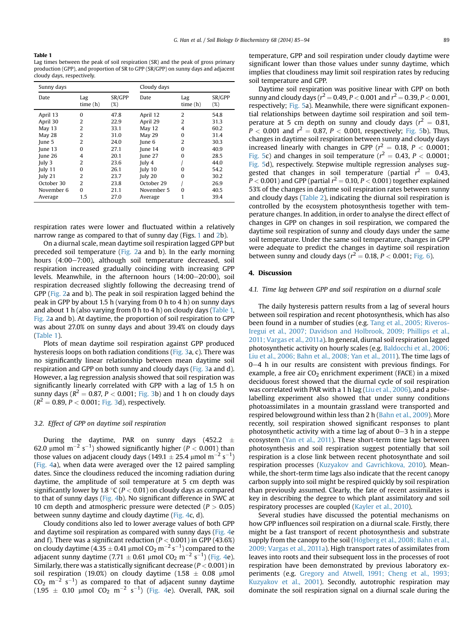## Table 1

Lag times between the peak of soil respiration (SR) and the peak of gross primary production (GPP), and proportion of SR to GPP (SR/GPP) on sunny days and adjacent cloudy days, respectively.

| Date                                                                                                                                                                                                                                                                                   | Lag     |                                                                                                      |                                                                                                                                                   |                                                                                                          | Cloudy days                                                                                          |  |  |  |
|----------------------------------------------------------------------------------------------------------------------------------------------------------------------------------------------------------------------------------------------------------------------------------------|---------|------------------------------------------------------------------------------------------------------|---------------------------------------------------------------------------------------------------------------------------------------------------|----------------------------------------------------------------------------------------------------------|------------------------------------------------------------------------------------------------------|--|--|--|
|                                                                                                                                                                                                                                                                                        | time(h) | SR/GPP<br>$(\%)$                                                                                     | Date                                                                                                                                              | Lag<br>time(h)                                                                                           | SR/GPP<br>$(\%)$                                                                                     |  |  |  |
| April 13<br>$\Omega$<br>2<br>April 30<br>$\overline{2}$<br>May $13$<br>$\overline{2}$<br>May 28<br>$\overline{2}$<br>June 5<br>June 13<br>0<br>Iune 26<br>4<br>2<br>July 3<br>July 11<br>$\Omega$<br>2<br>July 21<br>October 30<br>$\overline{2}$<br>November 6<br>$\Omega$<br>Average | 1.5     | 47.8<br>22.9<br>33.1<br>31.0<br>24.0<br>27.1<br>20.1<br>23.6<br>26.1<br>23.7<br>23.8<br>21.1<br>27.0 | April 12<br>April 29<br>May 12<br>May 29<br>June 6<br>June $14$<br>June 27<br>July 4<br>July 10<br>July 20<br>October 29<br>November 5<br>Average | $\overline{2}$<br>2<br>$\overline{4}$<br>$\Omega$<br>$\overline{2}$<br>$\Omega$<br>0<br>o<br>0<br>0<br>1 | 54.8<br>31.3<br>60.2<br>31.4<br>30.3<br>40.9<br>28.5<br>44.0<br>54.2<br>30.2<br>26.9<br>40.5<br>39.4 |  |  |  |

respiration rates were lower and fluctuated within a relatively narrow range as compared to that of sunny day (Figs. [1](#page-2-0) and [2b](#page-3-0)).

On a diurnal scale, mean daytime soil respiration lagged GPP but preceded soil temperature [\(Fig. 2a](#page-3-0) and b). In the early morning hours (4:00-7:00), although soil temperature decreased, soil respiration increased gradually coinciding with increasing GPP levels. Meanwhile, in the afternoon hours  $(14:00-20:00)$ , soil respiration decreased slightly following the decreasing trend of GPP [\(Fig. 2](#page-3-0)a and b). The peak in soil respiration lagged behind the peak in GPP by about 1.5 h (varying from 0 h to 4 h) on sunny days and about 1 h (also varying from 0 h to 4 h) on cloudy days (Table 1, [Fig. 2](#page-3-0)a and b). At daytime, the proportion of soil respiration to GPP was about 27.0% on sunny days and about 39.4% on cloudy days (Table 1).

Plots of mean daytime soil respiration against GPP produced hysteresis loops on both radiation conditions [\(Fig. 3](#page-5-0)a, c). There was no significantly linear relationship between mean daytime soil respiration and GPP on both sunny and cloudy days [\(Fig. 3](#page-5-0)a and d). However, a lag regression analysis showed that soil respiration was significantly linearly correlated with GPP with a lag of 1.5 h on sunny days ( $R^2 = 0.87$ ,  $P < 0.001$ ; [Fig. 3b](#page-5-0)) and 1 h on cloudy days  $(R^2 = 0.89, P < 0.001;$  [Fig. 3d](#page-5-0)), respectively.

# 3.2. Effect of GPP on daytime soil respiration

During the daytime, PAR on sunny days  $(452.2 \pm 1)$ 62.0 µmol m<sup>-2</sup> s<sup>-1</sup>) showed significantly higher (P < 0.001) than those values on adjacent cloudy days (149.1  $\pm$  25.4 µmol m<sup>-2</sup> s<sup>-1</sup>) ([Fig. 4a](#page-6-0)), when data were averaged over the 12 paired sampling dates. Since the cloudiness reduced the incoming radiation during daytime, the amplitude of soil temperature at 5 cm depth was significantly lower by 1.8 °C ( $P < 0.01$ ) on cloudy days as compared to that of sunny days [\(Fig. 4b](#page-6-0)). No significant difference in SWC at 10 cm depth and atmospheric pressure were detected ( $P > 0.05$ ) between sunny daytime and cloudy daytime [\(Fig. 4](#page-6-0)c, d).

Cloudy conditions also led to lower average values of both GPP and daytime soil respiration as compared with sunny days [\(Fig. 4](#page-6-0)e and f). There was a significant reduction ( $P < 0.001$ ) in GPP (43.6%) on cloudy daytime (4.35  $\pm$  0.41 µmol CO<sub>2</sub> m<sup>-2</sup> s<sup>-1</sup>) compared to the adjacent sunny daytime (7.71  $\pm$  0.61 µmol CO<sub>2</sub> m<sup>-2</sup> s<sup>-1</sup>) ([Fig. 4](#page-6-0)e). Similarly, there was a statistically significant decrease ( $P < 0.001$ ) in soil respiration (19.0%) on cloudy daytime (1.58  $\pm$  0.08 µmol  $CO<sub>2</sub>$   $\rm m^{-2}$  s<sup>-1</sup>) as compared to that of adjacent sunny daytime  $(1.95 \pm 0.10 \text{ \mu mol } CO_2 \text{ m}^{-2} \text{ s}^{-1})$  ([Fig. 4e](#page-6-0)). Overall, PAR, soil

temperature, GPP and soil respiration under cloudy daytime were significant lower than those values under sunny daytime, which implies that cloudiness may limit soil respiration rates by reducing soil temperature and GPP.

Daytime soil respiration was positive linear with GPP on both sunny and cloudy days ( $r^2 = 0.49$ ,  $P < 0.001$  and  $r^2 = 0.39$ ,  $P < 0.001$ , respectively; [Fig. 5](#page-7-0)a). Meanwhile, there were significant exponential relationships between daytime soil respiration and soil temperature at 5 cm depth on sunny and cloudy days ( $r^2 = 0.81$ ,  $P < 0.001$  and  $r^2 = 0.87$ ,  $P < 0.001$ , respectively; [Fig. 5](#page-7-0)b). Thus, changes in daytime soil respiration between sunny and cloudy days increased linearly with changes in GPP  $(r^2 = 0.18, P < 0.0001;$ [Fig. 5c](#page-7-0)) and changes in soil temperature ( $r^2 = 0.43$ ,  $P < 0.0001$ ; [Fig. 5d](#page-7-0)), respectively. Stepwise multiple regression analyses suggested that changes in soil temperature (partial  $r^2 = 0.43$ ,  $P < 0.001$  ) and GPP (partial  $r^2 = 0.10$ ,  $P < 0.001$  ) together explained 53% of the changes in daytime soil respiration rates between sunny and cloudy days [\(Table 2](#page-7-0)), indicating the diurnal soil respiration is controlled by the ecosystem photosynthesis together with temperature changes. In addition, in order to analyse the direct effect of changes in GPP on changes in soil respiration, we compared the daytime soil respiration of sunny and cloudy days under the same soil temperature. Under the same soil temperature, changes in GPP were adequate to predict the changes in daytime soil respiration between sunny and cloudy days ( $r^2 = 0.18$ ,  $P < 0.001$ ; [Fig. 6](#page-7-0)).

# 4. Discussion

# 4.1. Time lag between GPP and soil respiration on a diurnal scale

The daily hysteresis pattern results from a lag of several hours between soil respiration and recent photosynthesis, which has also been found in a number of studies (e.g. [Tang et al., 2005; Riveros-](#page-9-0)[Iregui et al., 2007; Davidson and Holbrook, 2009; Phillips et al.,](#page-9-0) [2011; Vargas et al., 2011a](#page-9-0)). In general, diurnal soil respiration lagged photosynthetic activity on hourly scales (e.g. [Baldocchi et al., 2006;](#page-8-0) [Liu et al., 2006; Bahn et al., 2008; Yan et al., 2011](#page-8-0)). The time lags of  $0-4$  h in our results are consistent with previous findings. For example, a free air  $CO<sub>2</sub>$  enrichment experiment (FACE) in a mixed deciduous forest showed that the diurnal cycle of soil respiration was correlated with PAR with a 1 h lag [\(Liu et al., 2006\)](#page-8-0), and a pulselabelling experiment also showed that under sunny conditions photoassimilates in a mountain grassland were transported and respired belowground within less than 2 h [\(Bahn et al., 2009\)](#page-8-0). More recently, soil respiration showed significant responses to plant photosynthetic activity with a time lag of about  $0-3$  h in a steppe ecosystem ([Yan et al., 2011](#page-9-0)). These short-term time lags between photosynthesis and soil respiration suggest potentially that soil respiration is a close link between recent photosynthate and soil respiration processes ([Kuzyakov and Gavrichkova, 2010](#page-8-0)). Meanwhile, the short-term time lags also indicate that the recent canopy carbon supply into soil might be respired quickly by soil respiration than previously assumed. Clearly, the fate of recent assimilates is key in describing the degree to which plant assimilatory and soil respiratory processes are coupled ([Kayler et al., 2010](#page-8-0)).

Several studies have discussed the potential mechanisms on how GPP influences soil respiration on a diurnal scale. Firstly, there might be a fast transport of recent photosynthesis and substrate supply from the canopy to the soil ([Högberg et al., 2008; Bahn et al.,](#page-8-0) [2009; Vargas et al., 2011a\)](#page-8-0). High transport rates of assimilates from leaves into roots and their subsequent loss in the processes of root respiration have been demonstrated by previous laboratory experiments (e.g. [Gregory and Atwell, 1991; Cheng et al., 1993;](#page-8-0) [Kuzyakov et al., 2001](#page-8-0)). Secondly, autotrophic respiration may dominate the soil respiration signal on a diurnal scale during the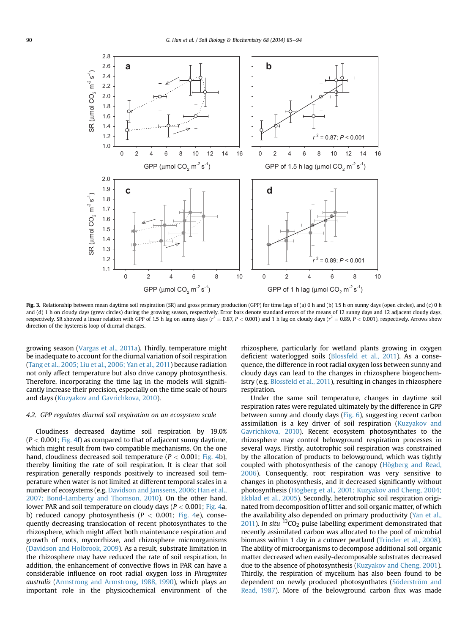<span id="page-5-0"></span>

Fig. 3. Relationship between mean daytime soil respiration (SR) and gross primary production (GPP) for time lags of (a) 0 h and (b) 1.5 h on sunny days (open circles), and (c) 0 h and (d) 1 h on cloudy days (grew circles) during the growing season, respectively. Error bars denote standard errors of the means of 12 sunny days and 12 adjacent cloudy days, respectively. SR showed a linear relation with GPP of 1.5 h lag on sunny days ( $r^2 = 0.87$ ,  $P < 0.001$ ) and 1 h lag on cloudy days ( $r^2 = 0.89$ ,  $P < 0.001$ ), respectively. Arrows show direction of the hysteresis loop of diurnal changes.

growing season [\(Vargas et al., 2011a](#page-9-0)). Thirdly, temperature might be inadequate to account for the diurnal variation of soil respiration ([Tang et al., 2005; Liu et al., 2006; Yan et al., 2011](#page-9-0)) because radiation not only affect temperature but also drive canopy photosynthesis. Therefore, incorporating the time lag in the models will significantly increase their precision, especially on the time scale of hours and days [\(Kuzyakov and Gavrichkova, 2010](#page-8-0)).

# 4.2. GPP regulates diurnal soil respiration on an ecosystem scale

Cloudiness decreased daytime soil respiration by 19.0%  $(P < 0.001$ ; [Fig. 4](#page-6-0)f) as compared to that of adjacent sunny daytime, which might result from two compatible mechanisms. On the one hand, cloudiness decreased soil temperature ( $P < 0.001$ ; [Fig. 4](#page-6-0)b), thereby limiting the rate of soil respiration. It is clear that soil respiration generally responds positively to increased soil temperature when water is not limited at different temporal scales in a number of ecosystems (e.g. [Davidson and Janssens, 2006;](#page-8-0) [Han et al.,](#page-8-0) [2007; Bond-Lamberty and Thomson, 2010\)](#page-8-0). On the other hand, lower PAR and soil temperature on cloudy days ( $P < 0.001$ ; [Fig. 4a](#page-6-0), b) reduced canopy photosynthesis ( $P < 0.001$ ; [Fig. 4](#page-6-0)e), consequently decreasing translocation of recent photosynthates to the rhizosphere, which might affect both maintenance respiration and growth of roots, mycorrhizae, and rhizosphere microorganisms ([Davidson and Holbrook, 2009\)](#page-8-0). As a result, substrate limitation in the rhizosphere may have reduced the rate of soil respiration. In addition, the enhancement of convective flows in PAR can have a considerable influence on root radial oxygen loss in Phragmites australis ([Armstrong and Armstrong, 1988, 1990](#page-8-0)), which plays an important role in the physicochemical environment of the rhizosphere, particularly for wetland plants growing in oxygen deficient waterlogged soils [\(Blossfeld et al., 2011\)](#page-8-0). As a consequence, the difference in root radial oxygen loss between sunny and cloudy days can lead to the changes in rhizosphere biogeochemistry (e.g. [Blossfeld et al., 2011\)](#page-8-0), resulting in changes in rhizosphere respiration.

Under the same soil temperature, changes in daytime soil respiration rates were regulated ultimately by the difference in GPP between sunny and cloudy days ([Fig. 6](#page-7-0)), suggesting recent carbon assimilation is a key driver of soil respiration ([Kuzyakov and](#page-8-0) [Gavrichkova, 2010\)](#page-8-0). Recent ecosystem photosynthates to the rhizosphere may control belowground respiration processes in several ways. Firstly, autotrophic soil respiration was constrained by the allocation of products to belowground, which was tightly coupled with photosynthesis of the canopy ([Högberg and Read,](#page-8-0) [2006](#page-8-0)). Consequently, root respiration was very sensitive to changes in photosynthesis, and it decreased significantly without photosynthesis ([Högberg et al., 2001; Kuzyakov and Cheng, 2004;](#page-8-0) [Ekblad et al., 2005](#page-8-0)). Secondly, heterotrophic soil respiration originated from decomposition of litter and soil organic matter, of which the availability also depended on primary productivity ([Yan et al.,](#page-9-0)  $2011$ ). In situ <sup>13</sup>CO<sub>2</sub> pulse labelling experiment demonstrated that recently assimilated carbon was allocated to the pool of microbial biomass within 1 day in a cutover peatland ([Trinder et al., 2008\)](#page-9-0). The ability of microorganisms to decompose additional soil organic matter decreased when easily-decomposable substrates decreased due to the absence of photosynthesis ([Kuzyakov and Cheng, 2001\)](#page-8-0). Thirdly, the respiration of mycelium has also been found to be dependent on newly produced photosynthates [\(Söderström and](#page-9-0) [Read, 1987\)](#page-9-0). More of the belowground carbon flux was made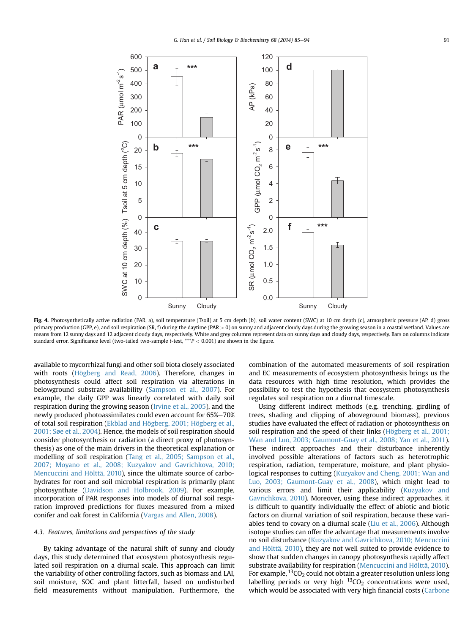<span id="page-6-0"></span>

Fig. 4. Photosynthetically active radiation (PAR, a), soil temperature (Tsoil) at 5 cm depth (b), soil water content (SWC) at 10 cm depth (c), atmospheric pressure (AP, d) gross primary production (GPP, e), and soil respiration (SR, f) during the daytime (PAR > 0) on sunny and adjacent cloudy days during the growing season in a coastal wetland. Values are means from 12 sunny days and 12 adjacent cloudy days, respectively. White and grey columns represent data on sunny days and cloudy days, respectively. Bars on columns indicate standard error. Significance level (two-tailed two-sample t-test, \*\*\*P < 0.001) are shown in the figure.

available to mycorrhizal fungi and other soil biota closely associated with roots [\(Högberg and Read, 2006\)](#page-8-0). Therefore, changes in photosynthesis could affect soil respiration via alterations in belowground substrate availability [\(Sampson et al., 2007\)](#page-9-0). For example, the daily GPP was linearly correlated with daily soil respiration during the growing season ([Irvine et al., 2005\)](#page-8-0), and the newly produced photoassimilates could even account for 65%-70% of total soil respiration ([Ekblad and Högberg, 2001; Högberg et al.,](#page-8-0) [2001; Søe et al., 2004\)](#page-8-0). Hence, the models of soil respiration should consider photosynthesis or radiation (a direct proxy of photosynthesis) as one of the main drivers in the theoretical explanation or modelling of soil respiration ([Tang et al., 2005; Sampson et al.,](#page-9-0) [2007; Moyano et al., 2008; Kuzyakov and Gavrichkova, 2010;](#page-9-0) [Mencuccini and Hölttä, 2010](#page-9-0)), since the ultimate source of carbohydrates for root and soil microbial respiration is primarily plant photosynthate [\(Davidson and Holbrook, 2009](#page-8-0)). For example, incorporation of PAR responses into models of diurnal soil respiration improved predictions for fluxes measured from a mixed conifer and oak forest in California ([Vargas and Allen, 2008](#page-9-0)).

# 4.3. Features, limitations and perspectives of the study

By taking advantage of the natural shift of sunny and cloudy days, this study determined that ecosystem photosynthesis regulated soil respiration on a diurnal scale. This approach can limit the variability of other controlling factors, such as biomass and LAI, soil moisture, SOC and plant litterfall, based on undisturbed field measurements without manipulation. Furthermore, the combination of the automated measurements of soil respiration and EC measurements of ecosystem photosynthesis brings us the data resources with high time resolution, which provides the possibility to test the hypothesis that ecosystem photosynthesis regulates soil respiration on a diurnal timescale.

Using different indirect methods (e.g. trenching, girdling of trees, shading and clipping of aboveground biomass), previous studies have evaluated the effect of radiation or photosynthesis on soil respiration and the speed of their links ([Högberg et al., 2001;](#page-8-0) [Wan and Luo, 2003; Gaumont-Guay et al., 2008; Yan et al., 2011\)](#page-8-0). These indirect approaches and their disturbance inherently involved possible alterations of factors such as heterotrophic respiration, radiation, temperature, moisture, and plant physio-logical responses to cutting ([Kuzyakov and Cheng, 2001; Wan and](#page-8-0) [Luo, 2003; Gaumont-Guay et al., 2008\)](#page-8-0), which might lead to various errors and limit their applicability ([Kuzyakov and](#page-8-0) [Gavrichkova, 2010](#page-8-0)). Moreover, using these indirect approaches, it is difficult to quantify individually the effect of abiotic and biotic factors on diurnal variation of soil respiration, because these variables tend to covary on a diurnal scale ([Liu et al., 2006](#page-8-0)). Although isotope studies can offer the advantage that measurements involve no soil disturbance [\(Kuzyakov and Gavrichkova, 2010; Mencuccini](#page-8-0) [and Hölttä, 2010\)](#page-8-0), they are not well suited to provide evidence to show that sudden changes in canopy photosynthesis rapidly affect substrate availability for respiration [\(Mencuccini and Hölttä, 2010\)](#page-8-0). For example,  ${}^{13}CO_2$  could not obtain a greater resolution unless long labelling periods or very high  ${}^{13}CO_2$  concentrations were used, which would be associated with very high financial costs [\(Carbone](#page-8-0)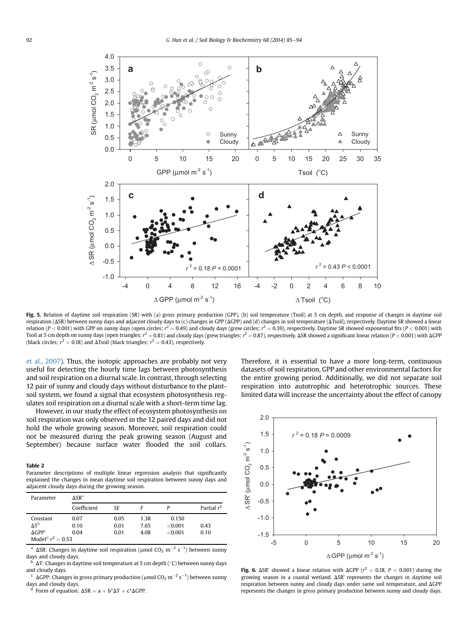<span id="page-7-0"></span>

Fig. 5. Relation of daytime soil respiration (SR) with (a) gross primary production (GPP), (b) soil temperature (Tsoil) at 5 cm depth, and response of changes in daytime soil respiration ( $\Delta$ SR) between sunny days and adjacent cloudy days to (c) changes in GPP ( $\Delta$ GPP) and (d) changes in soil temperature ( $\Delta$ Tsoil), respectively. Daytime SR showed a linear relation (P < 0.001) with GPP on sunny days (open circles;  $r^2 = 0.49$ ) and cloudy days (grew circles;  $r^2 = 0.39$ ), respectively. Daytime SR showed exponential fits (P < 0.001) with Tsoil at 5 cm depth on sunny days (open triangles;  $r^2$  = 0.81) and cloudy days (grew triangles;  $r^2$  = 0.87), respectively. ASR showed a significant linear relation (P < 0.001) with AGPP (black circles;  $r^2 = 0.18$ ) and  $\Delta$ Tsoil (black triangles;  $r^2 = 0.43$ ), respectively.

[et al., 2007\)](#page-8-0). Thus, the isotopic approaches are probably not very useful for detecting the hourly time lags between photosynthesis and soil respiration on a diurnal scale. In contrast, through selecting 12 pair of sunny and cloudy days without disturbance to the plantsoil system, we found a signal that ecosystem photosynthesis regulates soil respiration on a diurnal scale with a short-term time lag.

However, in our study the effect of ecosystem photosynthesis on soil respiration was only observed in the 12 paired days and did not hold the whole growing season. Moreover, soil respiration could not be measured during the peak growing season (August and September) because surface water flooded the soil collars.

#### Table 2

Parameter descriptions of multiple linear regression analysis that significantly explained the changes in mean daytime soil respiration between sunny days and adjacent cloudy days during the growing season.

| Parameter                       | $\Delta$ SR <sup>a</sup> |      |      |         |               |  |  |  |
|---------------------------------|--------------------------|------|------|---------|---------------|--|--|--|
|                                 | Coefficient              | SE   | F    |         | Partial $r^2$ |  |  |  |
| Constant                        | 0.07                     | 0.05 | 1.38 | 0.150   |               |  |  |  |
| $\Lambda$ T <sup>b</sup>        | 0.10                     | 0.01 | 7.65 | < 0.001 | 0.43          |  |  |  |
| $\Delta$ GPP <sup>c</sup>       | 0.04                     | 0.01 | 4.08 | < 0.001 | 0.10          |  |  |  |
| Model <sup>d</sup> $r^2 = 0.53$ |                          |      |      |         |               |  |  |  |

<sup>a</sup>  $\Delta$ SR: Changes in daytime soil respiration (µmol CO<sub>2</sub> m<sup>-2</sup> s<sup>-1</sup>) between sunny days and cloudy days.

 $\Delta T$ : Changes in daytime soil temperature at 5 cm depth (°C) between sunny days and cloudy days.

 $\rm ^c\,$  ΔGPP: Changes in gross primary production (µmol CO $\rm _2$  m $^{-2}$  s $^{-1}$ ) between sunny days and cloudy days.

Form of equation:  $\Delta SR = a + b^*\Delta T + c^*\Delta GPP$ .

Therefore, it is essential to have a more long-term, continuous datasets of soil respiration, GPP and other environmental factors for the entire growing period. Additionally, we did not separate soil respiration into autotrophic and heterotrophic sources. These limited data will increase the uncertainty about the effect of canopy



**Fig. 6.**  $\Delta$ SR' showed a linear relation with  $\Delta$ GPP ( $r^2 = 0.18$ ,  $P < 0.001$ ) during the growing season in a coastal wetland.  $\Delta$ SR' represents the changes in daytime soil respiration between sunny and cloudy days under same soil temperature, and  $\Delta GPP$ represents the changes in gross primary production between sunny and cloudy days.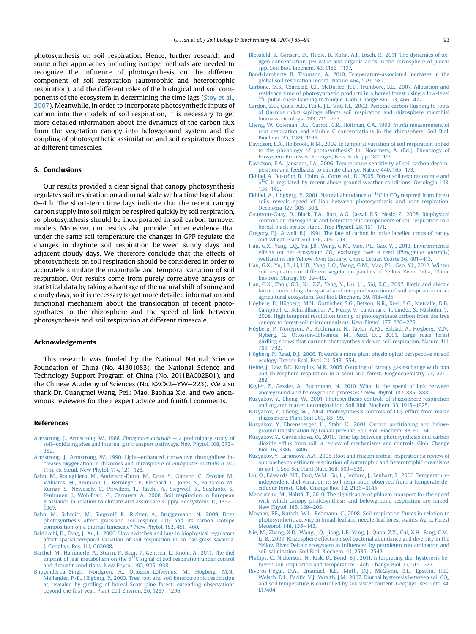<span id="page-8-0"></span>photosynthesis on soil respiration. Hence, further research and some other approaches including isotope methods are needed to recognize the influence of photosynthesis on the different component of soil respiration (autotrophic and heterotrophic respiration), and the different roles of the biological and soil components of the ecosystem in determining the time lags [\(Stoy et al.,](#page-9-0) [2007\)](#page-9-0). Meanwhile, in order to incorporate photosynthetic inputs of carbon into the models of soil respiration, it is necessary to get more detailed information about the dynamics of the carbon flux from the vegetation canopy into belowground system and the coupling of photosynthetic assimilation and soil respiratory fluxes at different timescales.

# 5. Conclusions

Our results provided a clear signal that canopy photosynthesis regulates soil respiration on a diurnal scale with a time lag of about  $0-4$  h. The short-term time lags indicate that the recent canopy carbon supply into soil might be respired quickly by soil respiration, so photosynthesis should be incorporated in soil carbon turnover models. Moreover, our results also provide further evidence that under the same soil temperature the changes in GPP regulate the changes in daytime soil respiration between sunny days and adjacent cloudy days. We therefore conclude that the effects of photosynthesis on soil respiration should be considered in order to accurately simulate the magnitude and temporal variation of soil respiration. Our results come from purely correlative analysis or statistical data by taking advantage of the natural shift of sunny and cloudy days, so it is necessary to get more detailed information and functional mechanism about the translocation of recent photosynthates to the rhizosphere and the speed of link between photosynthesis and soil respiration at different timescale.

# Acknowledgements

This research was funded by the National Natural Science Foundation of China (No. 41301083), the National Science and Technology Support Program of China (No. 2011BAC02B01), and the Chinese Academy of Sciences (No. KZCX2-YW-223). We also thank Dr. Guangmei Wang, Peili Mao, Baohua Xie, and two anonymous reviewers for their expert advice and fruitful comments.

#### References

- [Armstrong, J., Armstrong, W., 1988.](http://refhub.elsevier.com/S0038-0717(13)00325-8/sref1) Phragmites australis  $-$  [a preliminary study of](http://refhub.elsevier.com/S0038-0717(13)00325-8/sref1) [soil](http://refhub.elsevier.com/S0038-0717(13)00325-8/sref1)-[oxidizing sites and internal gas transport pathways. New Phytol. 108, 373](http://refhub.elsevier.com/S0038-0717(13)00325-8/sref1)-[382.](http://refhub.elsevier.com/S0038-0717(13)00325-8/sref1)
- [Armstrong, J., Armstrong, W., 1990. Light](http://refhub.elsevier.com/S0038-0717(13)00325-8/sref2)-[enhanced convective through](http://refhub.elsevier.com/S0038-0717(13)00325-8/sref2)flow in[creases oxygenation in rhizomes and rhizosphere of](http://refhub.elsevier.com/S0038-0717(13)00325-8/sref2) Phragmites australis (Cav.) [Trin. ex Steud. New Phytol. 114, 121](http://refhub.elsevier.com/S0038-0717(13)00325-8/sref2)-[128](http://refhub.elsevier.com/S0038-0717(13)00325-8/sref2).
- [Bahn, M., Rodeghiero, M., Anderson-Dunn, M., Dore, S., Gimeno, C., Drösler, M.,](http://refhub.elsevier.com/S0038-0717(13)00325-8/sref3) [Williams, M., Ammann, C., Berninger, F., Flechard, C., Jones, S., Balzarolo, M.,](http://refhub.elsevier.com/S0038-0717(13)00325-8/sref3) [Kumar, S., Newesely, C., Priwitzer, T., Raschi, A., Siegwolf, R., Susiluoto, S.,](http://refhub.elsevier.com/S0038-0717(13)00325-8/sref3) [Tenhunen, J., Wohlfhart, G., Cernusca, A., 2008. Soil respiration in European](http://refhub.elsevier.com/S0038-0717(13)00325-8/sref3) [grasslands in relation to climate and assimilate supply. Ecosystems 11, 1352](http://refhub.elsevier.com/S0038-0717(13)00325-8/sref3)– [1367.](http://refhub.elsevier.com/S0038-0717(13)00325-8/sref3)
- [Bahn, M., Schmitt, M., Siegwolf, R., Richter, A., Brüggemann, N., 2009. Does](http://refhub.elsevier.com/S0038-0717(13)00325-8/sref4) photosynthesis affect grassland soil-respired  $CO<sub>2</sub>$  [and its carbon isotope](http://refhub.elsevier.com/S0038-0717(13)00325-8/sref4) [composition on a diurnal timescale? New Phytol. 182, 451](http://refhub.elsevier.com/S0038-0717(13)00325-8/sref4)-[460](http://refhub.elsevier.com/S0038-0717(13)00325-8/sref4).
- [Baldocchi, D., Tang, J., Xu, L., 2006. How switches and lags in biophysical regulators](http://refhub.elsevier.com/S0038-0717(13)00325-8/sref5) [affect spatial-temporal variation of soil respiration in an oak-grass savanna.](http://refhub.elsevier.com/S0038-0717(13)00325-8/sref5) [J. Geophys. Res. 111, G02008](http://refhub.elsevier.com/S0038-0717(13)00325-8/sref5).
- [Barthel, M., Hammerle, A., Sturm, P., Baur, T., Gentsch, L., Knohl, A., 2011. The diel](http://refhub.elsevier.com/S0038-0717(13)00325-8/sref6) [imprint](http://refhub.elsevier.com/S0038-0717(13)00325-8/sref6) [of](http://refhub.elsevier.com/S0038-0717(13)00325-8/sref6) [leaf](http://refhub.elsevier.com/S0038-0717(13)00325-8/sref6) [metabolism](http://refhub.elsevier.com/S0038-0717(13)00325-8/sref6) [on](http://refhub.elsevier.com/S0038-0717(13)00325-8/sref6) [the](http://refhub.elsevier.com/S0038-0717(13)00325-8/sref6)  $\delta^{13}C$  signal of soil respiration under control [and drought conditions. New Phytol. 192, 925](http://refhub.elsevier.com/S0038-0717(13)00325-8/sref6)-[938.](http://refhub.elsevier.com/S0038-0717(13)00325-8/sref6)
- [Bhupinderpal-Singh, Nordgren, A., Ottosson-Löfvenius, M., Högberg, M.N.,](http://refhub.elsevier.com/S0038-0717(13)00325-8/sref7) [Mellander, P.-E., Högberg, P., 2003. Tree root and soil heterotrophic respiration](http://refhub.elsevier.com/S0038-0717(13)00325-8/sref7) [as revealed by girdling of boreal Scots pine forest: extending observations](http://refhub.elsevier.com/S0038-0717(13)00325-8/sref7) beyond the fi[rst year. Plant Cell Environ. 26, 1287](http://refhub.elsevier.com/S0038-0717(13)00325-8/sref7)-[1296.](http://refhub.elsevier.com/S0038-0717(13)00325-8/sref7)
- [Blossfeld, S., Gansert, D., Thiele, B., Kuhn, A.J., Lösch, R., 2011. The dynamics of ox](http://refhub.elsevier.com/S0038-0717(13)00325-8/sref8)[ygen concentration, pH value and organic acids in the rhizosphere of](http://refhub.elsevier.com/S0038-0717(13)00325-8/sref8) Juncus [spp. Soil Biol. Biochem. 43, 1186](http://refhub.elsevier.com/S0038-0717(13)00325-8/sref8)-[1197.](http://refhub.elsevier.com/S0038-0717(13)00325-8/sref8)
- [Bond-Lamberty, B., Thomson, A., 2010. Temperature-associated increases in the](http://refhub.elsevier.com/S0038-0717(13)00325-8/sref9) [global soil respiration record. Nature 464, 579](http://refhub.elsevier.com/S0038-0717(13)00325-8/sref9)-[582.](http://refhub.elsevier.com/S0038-0717(13)00325-8/sref9)
- [Carbone, M.S., Czimczik, C.I., McDuffee, K.E., Trumbore, S.E., 2007. Allocation and](http://refhub.elsevier.com/S0038-0717(13)00325-8/sref10) [residence time of photosynthetic products in a boreal forest using a low-level](http://refhub.elsevier.com/S0038-0717(13)00325-8/sref10)  $14C$  pulse-chase labeling technique. Glob. Change Biol. 13,  $466-477$ .
- [Cardon, Z.G., Czaja, A.D., Funk, J.L., Vitt, P.L., 2002. Periodic carbon](http://refhub.elsevier.com/S0038-0717(13)00325-8/sref11) flushing to roots of Quercus rubra [saplings affects soil respiration and rhizosphere microbial](http://refhub.elsevier.com/S0038-0717(13)00325-8/sref11) [biomass. Oecologia 133, 215](http://refhub.elsevier.com/S0038-0717(13)00325-8/sref11)–[223](http://refhub.elsevier.com/S0038-0717(13)00325-8/sref11).
- [Cheng, W., Coleman, D.C., Carroll, C.R., Hoffman, C.A., 1993.](http://refhub.elsevier.com/S0038-0717(13)00325-8/sref12) In situ measurement of [root respiration and soluble C concentrations in the rhizosphere. Soil Biol.](http://refhub.elsevier.com/S0038-0717(13)00325-8/sref12) [Biochem. 25, 1189](http://refhub.elsevier.com/S0038-0717(13)00325-8/sref12)-[1196](http://refhub.elsevier.com/S0038-0717(13)00325-8/sref12).
- [Davidson, E.A., Holbrook, N.M., 2009. Is temporal variation of soil respiration linked](http://refhub.elsevier.com/S0038-0717(13)00325-8/sref13) [to the phenology of photosynthesis? In: Noormets, A. \(Ed.\), Phenology of](http://refhub.elsevier.com/S0038-0717(13)00325-8/sref13) [Ecosystem Processes. Springer, New York, pp. 187](http://refhub.elsevier.com/S0038-0717(13)00325-8/sref13)–[199](http://refhub.elsevier.com/S0038-0717(13)00325-8/sref13).
- [Davidson, E.A., Janssens, I.A., 2006. Temperature sensitivity of soil carbon decom](http://refhub.elsevier.com/S0038-0717(13)00325-8/sref49)[position and feedbacks to climate change. Nature 440, 165](http://refhub.elsevier.com/S0038-0717(13)00325-8/sref49)–[173](http://refhub.elsevier.com/S0038-0717(13)00325-8/sref49).<br>[Ekblad, A., Boström, B., Holm, A., Comstedt, D., 2005. Forest soil respiration rate and](http://refhub.elsevier.com/S0038-0717(13)00325-8/sref14)
- $\delta^{13}$ C is regulated by recent above ground weather conditions. Oecologia 143,  $136 - 142$  $136 - 142$  $136 - 142$
- [Ekblad,](http://refhub.elsevier.com/S0038-0717(13)00325-8/sref15) [A.,](http://refhub.elsevier.com/S0038-0717(13)00325-8/sref15) [Högberg,](http://refhub.elsevier.com/S0038-0717(13)00325-8/sref15) [P.,](http://refhub.elsevier.com/S0038-0717(13)00325-8/sref15) [2001.](http://refhub.elsevier.com/S0038-0717(13)00325-8/sref15) [Natural](http://refhub.elsevier.com/S0038-0717(13)00325-8/sref15) [abundance](http://refhub.elsevier.com/S0038-0717(13)00325-8/sref15) [of](http://refhub.elsevier.com/S0038-0717(13)00325-8/sref15)  $^{13}C$  in  $CO_2$  [respired from forest](http://refhub.elsevier.com/S0038-0717(13)00325-8/sref15) [soils reveals speed of link between photosynthesis and root respiration.](http://refhub.elsevier.com/S0038-0717(13)00325-8/sref15) [Oecologia 127, 305](http://refhub.elsevier.com/S0038-0717(13)00325-8/sref15)-[308](http://refhub.elsevier.com/S0038-0717(13)00325-8/sref15).
- [Gaumont-Guay, D., Black, T.A., Barr, A.G., Jassal, R.S., Nesic, Z., 2008. Biophysical](http://refhub.elsevier.com/S0038-0717(13)00325-8/sref16) [controls on rhizospheric and heterotrophic components of soil respiration in a](http://refhub.elsevier.com/S0038-0717(13)00325-8/sref16) [boreal black spruce stand. Tree Physiol. 28, 161](http://refhub.elsevier.com/S0038-0717(13)00325-8/sref16)-[171.](http://refhub.elsevier.com/S0038-0717(13)00325-8/sref16)
- [Gregory, P.J., Atwell, B.J., 1991. The fate of carbon in pulse labelled crops of barley](http://refhub.elsevier.com/S0038-0717(13)00325-8/sref17) and wheat. Plant Soil  $136$ ,  $205-213$  $205-213$ .
- [Han, G.X., Yang, L.Q., Yu, J.B., Wang, G.M., Mao, P.L., Gao, Y.J., 2013. Environmental](http://refhub.elsevier.com/S0038-0717(13)00325-8/sref18) effects on net ecosystem CO<sub>2</sub> [exchange over a reed \(](http://refhub.elsevier.com/S0038-0717(13)00325-8/sref18)Phragmites australis) [wetland in the Yellow River Estuary, China. Estuar. Coasts 36, 401](http://refhub.elsevier.com/S0038-0717(13)00325-8/sref18)-[413.](http://refhub.elsevier.com/S0038-0717(13)00325-8/sref18)
- [Han, G.X., Yu, J.B., Li, H.B., Yang, L.Q., Wang, G.M., Mao, P.L., Gao, Y.J., 2012. Winter](http://refhub.elsevier.com/S0038-0717(13)00325-8/sref19) [soil respiration in different vegetation patches of Yellow River Delta, China.](http://refhub.elsevier.com/S0038-0717(13)00325-8/sref19) [Environ. Manag. 50, 39](http://refhub.elsevier.com/S0038-0717(13)00325-8/sref19)-[49](http://refhub.elsevier.com/S0038-0717(13)00325-8/sref19).
- [Han, G.X., Zhou, G.S., Xu, Z.Z., Yang, Y., Liu, J.L., Shi, K.Q., 2007. Biotic and abiotic](http://refhub.elsevier.com/S0038-0717(13)00325-8/sref20) [factors controlling the spatial and temporal variation of soil respiration in an](http://refhub.elsevier.com/S0038-0717(13)00325-8/sref20) [agricultural ecosystem. Soil Biol. Biochem. 39, 418](http://refhub.elsevier.com/S0038-0717(13)00325-8/sref20)-[425](http://refhub.elsevier.com/S0038-0717(13)00325-8/sref20).
- [Högberg, P., Högberg, M.N., Gottlicher, S.G., Betson, N.R., Keel, S.G., Metcalfe, D.B.,](http://refhub.elsevier.com/S0038-0717(13)00325-8/sref21) [Campbell, C., Schindlbacher, A., Hurry, V., Lundmark, T., Linder, S., Näsholm, T.,](http://refhub.elsevier.com/S0038-0717(13)00325-8/sref21) [2008. High temporal resolution tracing of photosynthate carbon from the tree](http://refhub.elsevier.com/S0038-0717(13)00325-8/sref21) [canopy to forest soil microorganisms. New Phytol. 177, 220](http://refhub.elsevier.com/S0038-0717(13)00325-8/sref21)-[228](http://refhub.elsevier.com/S0038-0717(13)00325-8/sref21).
- [Högberg, P., Nordgren, A., Buchmann, N., Taylor, A.F.S., Ekblad, A., Högberg, M.N.,](http://refhub.elsevier.com/S0038-0717(13)00325-8/sref22) [Nyberg, G., Ottosson-Löfvenius, M., Read, D.J., 2001. Large scale forest](http://refhub.elsevier.com/S0038-0717(13)00325-8/sref22) [girdling shows that current photosynthesis drives soil respiration. Nature 411,](http://refhub.elsevier.com/S0038-0717(13)00325-8/sref22) [789](http://refhub.elsevier.com/S0038-0717(13)00325-8/sref22)-[792](http://refhub.elsevier.com/S0038-0717(13)00325-8/sref22)
- [Högberg, P., Read, D.J., 2006. Towards a more plant physiological perspective on soil](http://refhub.elsevier.com/S0038-0717(13)00325-8/sref23) [ecology. Trends Ecol. Evol. 21, 548](http://refhub.elsevier.com/S0038-0717(13)00325-8/sref23)-[554.](http://refhub.elsevier.com/S0038-0717(13)00325-8/sref23)
- [Irvine, J., Law, B.E., Kurpius, M.R., 2005. Coupling of canopy gas exchange with root](http://refhub.elsevier.com/S0038-0717(13)00325-8/sref24) [and rhizosphere respiration in a semi-arid forest. Biogeochemistry 73, 271](http://refhub.elsevier.com/S0038-0717(13)00325-8/sref24)-[282.](http://refhub.elsevier.com/S0038-0717(13)00325-8/sref24)
- [Kayler, Z., Gessler, A., Buchmann, N., 2010. What is the speed of link between](http://refhub.elsevier.com/S0038-0717(13)00325-8/sref25) [aboveground and belowground processes? New Phytol. 187, 885](http://refhub.elsevier.com/S0038-0717(13)00325-8/sref25)-[888](http://refhub.elsevier.com/S0038-0717(13)00325-8/sref25).
- [Kuzyakov, Y., Cheng, W., 2001. Photosynthesis controls of rhizosphere respiration](http://refhub.elsevier.com/S0038-0717(13)00325-8/sref26) [and organic matter decomposition. Soil Biol. Biochem. 33, 1915](http://refhub.elsevier.com/S0038-0717(13)00325-8/sref26)-[1925](http://refhub.elsevier.com/S0038-0717(13)00325-8/sref26)
- Kuzyakov, Y., Cheng, W., 2004. Photosynthesis controls of CO<sub>2</sub> effl[ux from maize](http://refhub.elsevier.com/S0038-0717(13)00325-8/sref27) [rhizosphere. Plant Soil 263, 85](http://refhub.elsevier.com/S0038-0717(13)00325-8/sref27)-[99](http://refhub.elsevier.com/S0038-0717(13)00325-8/sref27).
- [Kuzyakov, Y., Ehrensberger, H., Stahr, K., 2001. Carbon partitioning and below-](http://refhub.elsevier.com/S0038-0717(13)00325-8/sref28)ground translocation by Lolium perenne[. Soil Biol. Biochem. 33, 61](http://refhub.elsevier.com/S0038-0717(13)00325-8/sref28)-[74](http://refhub.elsevier.com/S0038-0717(13)00325-8/sref28).
- [Kuzyakov, Y., Gavrichkova, O., 2010. Time lag between photosynthesis and carbon](http://refhub.elsevier.com/S0038-0717(13)00325-8/sref29) dioxide effl[ux from soil: a review of mechanisms and controls. Glob. Change](http://refhub.elsevier.com/S0038-0717(13)00325-8/sref29) [Biol. 16, 3386](http://refhub.elsevier.com/S0038-0717(13)00325-8/sref29)-[3406](http://refhub.elsevier.com/S0038-0717(13)00325-8/sref29).
- [Kuzyakov, Y., Larionova, A.A., 2005. Root and rhizomicrobial respiration: a review of](http://refhub.elsevier.com/S0038-0717(13)00325-8/sref50) [approaches to estimate respiration of autotrophic and heterotrophic organisms](http://refhub.elsevier.com/S0038-0717(13)00325-8/sref50) [in soil. J. Soil Sci. Plant Nutr. 168, 503](http://refhub.elsevier.com/S0038-0717(13)00325-8/sref50)-[520.](http://refhub.elsevier.com/S0038-0717(13)00325-8/sref50)
- [Liu, Q., Edwards, N.T., Post, W.M., Gu, L., Ledford, J., Lenhart, S., 2006. Temperature](http://refhub.elsevier.com/S0038-0717(13)00325-8/sref30)[independent diel variation in soil respiration observed from a temperate de](http://refhub.elsevier.com/S0038-0717(13)00325-8/sref30)ciduous forest. Glob. Change Biol. 12,  $2136 - 2145$  $2136 - 2145$ .
- [Mencuccini, M., Hölttä, T., 2010. The signi](http://refhub.elsevier.com/S0038-0717(13)00325-8/sref31)ficance of phloem transport for the speed [with which canopy photosynthesis and belowground respiration are linked.](http://refhub.elsevier.com/S0038-0717(13)00325-8/sref31) [New Phytol. 185, 189](http://refhub.elsevier.com/S0038-0717(13)00325-8/sref31)-[203](http://refhub.elsevier.com/S0038-0717(13)00325-8/sref31).
- [Moyano, F.E., Kutsch, W.L., Rebmann, C., 2008. Soil respiration](http://refhub.elsevier.com/S0038-0717(13)00325-8/sref32) fluxes in relation to [photosynthetic activity in broad-leaf and needle-leaf forest stands. Agric. Forest](http://refhub.elsevier.com/S0038-0717(13)00325-8/sref32) [Meteorol. 148, 135](http://refhub.elsevier.com/S0038-0717(13)00325-8/sref32)-[143.](http://refhub.elsevier.com/S0038-0717(13)00325-8/sref32)
- [Nie, M., Zhang, X.D., Wang, J.Q., Jiang, L.F., Yang, J., Quan, Z.X., Cui, X.H., Fang, C.M.,](http://refhub.elsevier.com/S0038-0717(13)00325-8/sref33) [Li, B., 2009. Rhizosphere effects on soil bacterial abundance and diversity in the](http://refhub.elsevier.com/S0038-0717(13)00325-8/sref33) Yellow River Deltaic ecosystem as infl[uenced by petroleum contamination and](http://refhub.elsevier.com/S0038-0717(13)00325-8/sref33) [soil salinization. Soil Biol. Biochem. 41, 2535](http://refhub.elsevier.com/S0038-0717(13)00325-8/sref33)-[2542.](http://refhub.elsevier.com/S0038-0717(13)00325-8/sref33)
- [Phillips, C., Nickerson, N., Risk, D., Bond, B.J., 2011. Interpreting diel hysteresis be](http://refhub.elsevier.com/S0038-0717(13)00325-8/sref34)[tween soil respiration and temperature. Glob. Change Biol. 17, 515](http://refhub.elsevier.com/S0038-0717(13)00325-8/sref34)-[527.](http://refhub.elsevier.com/S0038-0717(13)00325-8/sref34)
- [Riveros-Iregui, D.A., Emanuel, R.E., Muth, D.J., McGlynn, B.L., Epstein, H.E.,](http://refhub.elsevier.com/S0038-0717(13)00325-8/sref35) Welsch, D.L., Pacific, V.J., Wraith, J.M., 2007. Diurnal hysteresis between soil CO<sub>2</sub> [and soil temperature is controlled by soil water content. Geophys. Res. Lett. 34,](http://refhub.elsevier.com/S0038-0717(13)00325-8/sref35) [L17404.](http://refhub.elsevier.com/S0038-0717(13)00325-8/sref35)